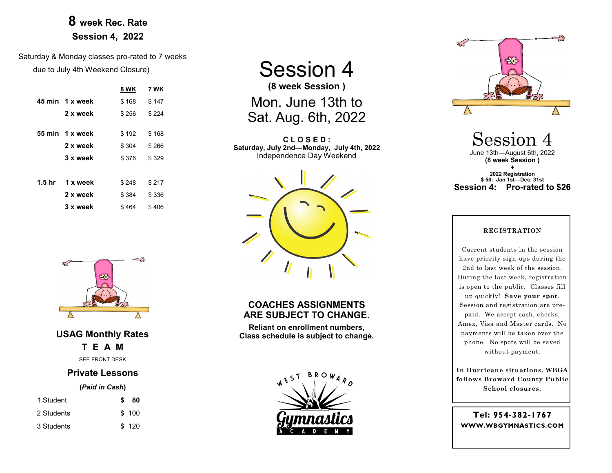## **8 week Rec. Rate Session 4, 2022**

Saturday & Monday classes pro-rated to 7 weeks due to July 4th Weekend Closure)

|                   |                 | 8 WK  | 7 WK  |
|-------------------|-----------------|-------|-------|
|                   | 45 min 1 x week | \$168 | \$147 |
|                   | 2 x week        | \$256 | \$224 |
|                   | 55 min 1 x week | \$192 | \$168 |
|                   | 2 x week        | \$304 | \$266 |
|                   | 3 x week        | \$376 | \$329 |
|                   |                 |       |       |
| 1.5 <sub>hr</sub> | 1 x week        | \$248 | \$217 |
|                   | 2 x week        | \$384 | \$336 |
|                   | 3 x week        | \$464 | \$406 |

Session 4 **(8 week Session )** Mon. June 13th to Sat. Aug. 6th, 2022

**C L O S E D : Saturday, July 2nd—Monday, July 4th, 2022** Independence Day Weekend



### **COACHES ASSIGNMENTS ARE SUBJECT TO CHANGE.**

**Reliant on enrollment numbers, Class schedule is subject to change.**





Session 4 June 13th—August 6th, 2022 **(8 week Session )**

**+ 2022 Registration \$ 50: Jan 1st—Dec. 31st Session 4: Pro-rated to \$26**

#### **REGISTRATION**

Current students in the session have priority sign-ups during the 2nd to last week of the session. During the last week, registration is open to the public. Classes fill up quickly! **Save your spot**. Session and registration are prepaid. We accept cash, checks, Amex, Visa and Master cards. No payments will be taken over the phone. No spots will be saved without payment.

**In Hurricane situations, WBGA follows Broward County Public School closures.**

**Tel:**  WWW.WBGYMNASTICS.COM



**USAG Monthly Rates T E A M** SEE FRONT DESK

### **Private Lessons**

#### **(***Paid in Cash***)**

| 1 Student  | S. | -80   |
|------------|----|-------|
| 2 Students |    | \$100 |
| 3 Students |    | \$120 |